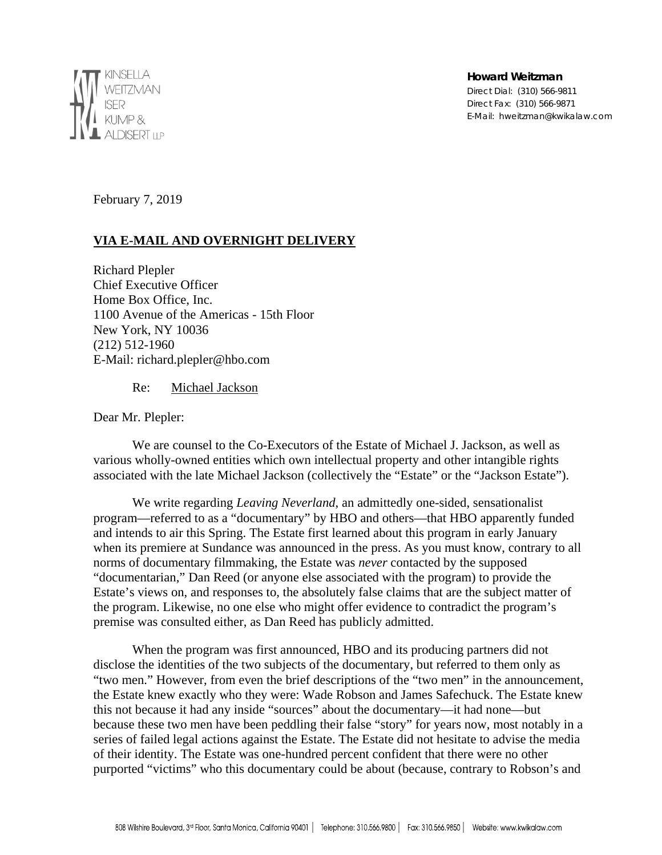

Direct Dial: (310) 566-9811 Direct Fax: (310) 566-9871 E-Mail: hweitzman@kwikalaw.com



February 7, 2019

# **VIA E-MAIL AND OVERNIGHT DELIVERY**

Richard Plepler Chief Executive Officer Home Box Office, Inc. 1100 Avenue of the Americas - 15th Floor New York, NY 10036 (212) 512-1960 E-Mail: richard.plepler@hbo.com

Re: Michael Jackson

Dear Mr. Plepler:

We are counsel to the Co-Executors of the Estate of Michael J. Jackson, as well as various wholly-owned entities which own intellectual property and other intangible rights associated with the late Michael Jackson (collectively the "Estate" or the "Jackson Estate").

We write regarding *Leaving Neverland*, an admittedly one-sided, sensationalist program—referred to as a "documentary" by HBO and others—that HBO apparently funded and intends to air this Spring. The Estate first learned about this program in early January when its premiere at Sundance was announced in the press. As you must know, contrary to all norms of documentary filmmaking, the Estate was *never* contacted by the supposed "documentarian," Dan Reed (or anyone else associated with the program) to provide the Estate's views on, and responses to, the absolutely false claims that are the subject matter of the program. Likewise, no one else who might offer evidence to contradict the program's premise was consulted either, as Dan Reed has publicly admitted.

When the program was first announced, HBO and its producing partners did not disclose the identities of the two subjects of the documentary, but referred to them only as "two men." However, from even the brief descriptions of the "two men" in the announcement, the Estate knew exactly who they were: Wade Robson and James Safechuck. The Estate knew this not because it had any inside "sources" about the documentary—it had none—but because these two men have been peddling their false "story" for years now, most notably in a series of failed legal actions against the Estate. The Estate did not hesitate to advise the media of their identity. The Estate was one-hundred percent confident that there were no other purported "victims" who this documentary could be about (because, contrary to Robson's and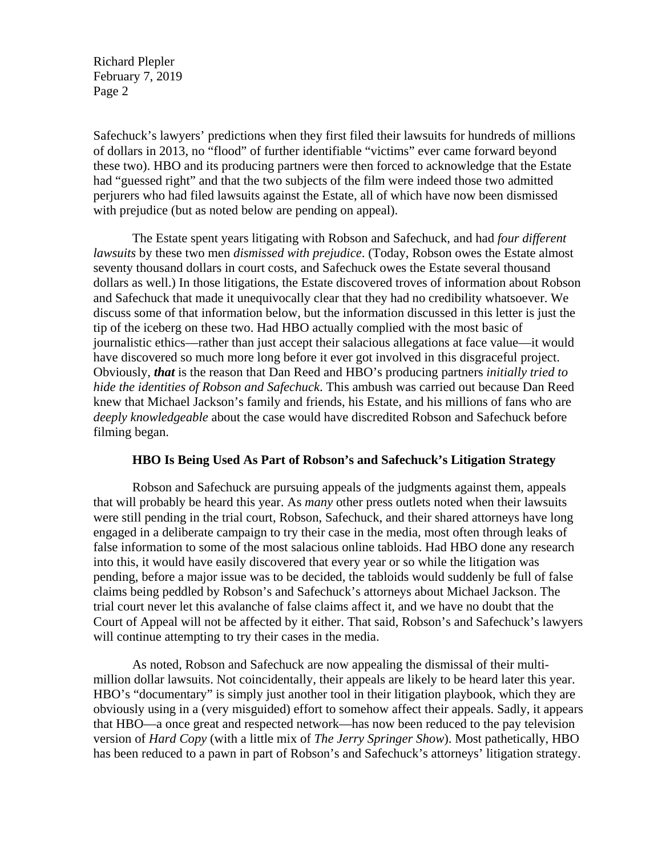Safechuck's lawyers' predictions when they first filed their lawsuits for hundreds of millions of dollars in 2013, no "flood" of further identifiable "victims" ever came forward beyond these two). HBO and its producing partners were then forced to acknowledge that the Estate had "guessed right" and that the two subjects of the film were indeed those two admitted perjurers who had filed lawsuits against the Estate, all of which have now been dismissed with prejudice (but as noted below are pending on appeal).

The Estate spent years litigating with Robson and Safechuck, and had *four different lawsuits* by these two men *dismissed with prejudice*. (Today, Robson owes the Estate almost seventy thousand dollars in court costs, and Safechuck owes the Estate several thousand dollars as well.) In those litigations, the Estate discovered troves of information about Robson and Safechuck that made it unequivocally clear that they had no credibility whatsoever. We discuss some of that information below, but the information discussed in this letter is just the tip of the iceberg on these two. Had HBO actually complied with the most basic of journalistic ethics—rather than just accept their salacious allegations at face value—it would have discovered so much more long before it ever got involved in this disgraceful project. Obviously, *that* is the reason that Dan Reed and HBO's producing partners *initially tried to hide the identities of Robson and Safechuck*. This ambush was carried out because Dan Reed knew that Michael Jackson's family and friends, his Estate, and his millions of fans who are *deeply knowledgeable* about the case would have discredited Robson and Safechuck before filming began.

#### **HBO Is Being Used As Part of Robson's and Safechuck's Litigation Strategy**

Robson and Safechuck are pursuing appeals of the judgments against them, appeals that will probably be heard this year. As *many* other press outlets noted when their lawsuits were still pending in the trial court, Robson, Safechuck, and their shared attorneys have long engaged in a deliberate campaign to try their case in the media, most often through leaks of false information to some of the most salacious online tabloids. Had HBO done any research into this, it would have easily discovered that every year or so while the litigation was pending, before a major issue was to be decided, the tabloids would suddenly be full of false claims being peddled by Robson's and Safechuck's attorneys about Michael Jackson. The trial court never let this avalanche of false claims affect it, and we have no doubt that the Court of Appeal will not be affected by it either. That said, Robson's and Safechuck's lawyers will continue attempting to try their cases in the media.

As noted, Robson and Safechuck are now appealing the dismissal of their multimillion dollar lawsuits. Not coincidentally, their appeals are likely to be heard later this year. HBO's "documentary" is simply just another tool in their litigation playbook, which they are obviously using in a (very misguided) effort to somehow affect their appeals. Sadly, it appears that HBO—a once great and respected network—has now been reduced to the pay television version of *Hard Copy* (with a little mix of *The Jerry Springer Show*). Most pathetically, HBO has been reduced to a pawn in part of Robson's and Safechuck's attorneys' litigation strategy.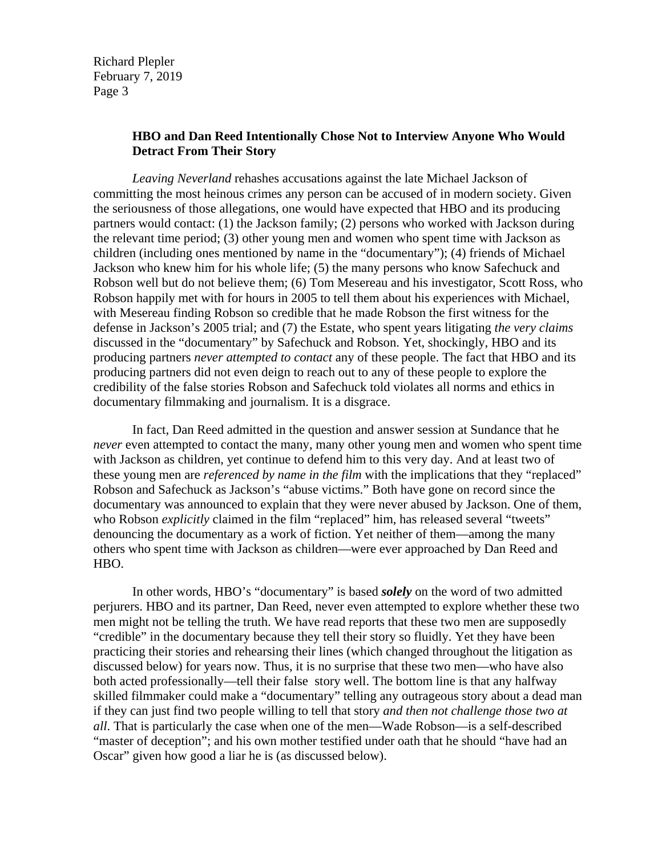## **HBO and Dan Reed Intentionally Chose Not to Interview Anyone Who Would Detract From Their Story**

*Leaving Neverland* rehashes accusations against the late Michael Jackson of committing the most heinous crimes any person can be accused of in modern society. Given the seriousness of those allegations, one would have expected that HBO and its producing partners would contact: (1) the Jackson family; (2) persons who worked with Jackson during the relevant time period; (3) other young men and women who spent time with Jackson as children (including ones mentioned by name in the "documentary"); (4) friends of Michael Jackson who knew him for his whole life; (5) the many persons who know Safechuck and Robson well but do not believe them; (6) Tom Mesereau and his investigator, Scott Ross, who Robson happily met with for hours in 2005 to tell them about his experiences with Michael, with Mesereau finding Robson so credible that he made Robson the first witness for the defense in Jackson's 2005 trial; and (7) the Estate, who spent years litigating *the very claims*  discussed in the "documentary" by Safechuck and Robson. Yet, shockingly, HBO and its producing partners *never attempted to contact* any of these people. The fact that HBO and its producing partners did not even deign to reach out to any of these people to explore the credibility of the false stories Robson and Safechuck told violates all norms and ethics in documentary filmmaking and journalism. It is a disgrace.

In fact, Dan Reed admitted in the question and answer session at Sundance that he *never* even attempted to contact the many, many other young men and women who spent time with Jackson as children, yet continue to defend him to this very day. And at least two of these young men are *referenced by name in the film* with the implications that they "replaced" Robson and Safechuck as Jackson's "abuse victims." Both have gone on record since the documentary was announced to explain that they were never abused by Jackson. One of them, who Robson *explicitly* claimed in the film "replaced" him, has released several "tweets" denouncing the documentary as a work of fiction. Yet neither of them—among the many others who spent time with Jackson as children—were ever approached by Dan Reed and HBO.

In other words, HBO's "documentary" is based *solely* on the word of two admitted perjurers. HBO and its partner, Dan Reed, never even attempted to explore whether these two men might not be telling the truth. We have read reports that these two men are supposedly "credible" in the documentary because they tell their story so fluidly. Yet they have been practicing their stories and rehearsing their lines (which changed throughout the litigation as discussed below) for years now. Thus, it is no surprise that these two men—who have also both acted professionally—tell their false story well. The bottom line is that any halfway skilled filmmaker could make a "documentary" telling any outrageous story about a dead man if they can just find two people willing to tell that story *and then not challenge those two at all*. That is particularly the case when one of the men—Wade Robson—is a self-described "master of deception"; and his own mother testified under oath that he should "have had an Oscar" given how good a liar he is (as discussed below).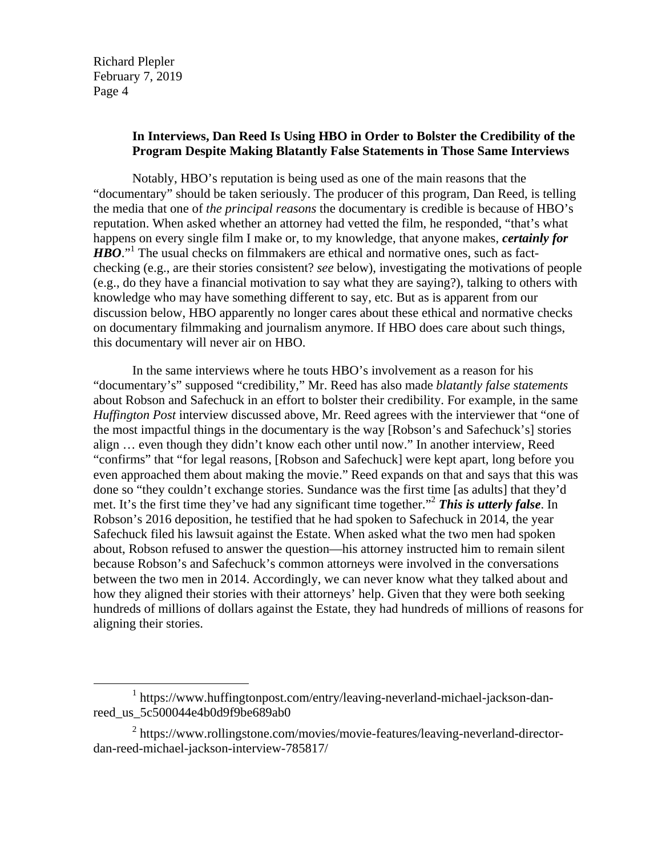## **In Interviews, Dan Reed Is Using HBO in Order to Bolster the Credibility of the Program Despite Making Blatantly False Statements in Those Same Interviews**

Notably, HBO's reputation is being used as one of the main reasons that the "documentary" should be taken seriously. The producer of this program, Dan Reed, is telling the media that one of *the principal reasons* the documentary is credible is because of HBO's reputation. When asked whether an attorney had vetted the film, he responded, "that's what happens on every single film I make or, to my knowledge, that anyone makes, *certainly for*  HBO."<sup>1</sup> The usual checks on filmmakers are ethical and normative ones, such as factchecking (e.g., are their stories consistent? *see* below), investigating the motivations of people (e.g., do they have a financial motivation to say what they are saying?), talking to others with knowledge who may have something different to say, etc. But as is apparent from our discussion below, HBO apparently no longer cares about these ethical and normative checks on documentary filmmaking and journalism anymore. If HBO does care about such things, this documentary will never air on HBO.

In the same interviews where he touts HBO's involvement as a reason for his "documentary's" supposed "credibility," Mr. Reed has also made *blatantly false statements* about Robson and Safechuck in an effort to bolster their credibility. For example, in the same *Huffington Post* interview discussed above, Mr. Reed agrees with the interviewer that "one of the most impactful things in the documentary is the way [Robson's and Safechuck's] stories align … even though they didn't know each other until now." In another interview, Reed "confirms" that "for legal reasons, [Robson and Safechuck] were kept apart, long before you even approached them about making the movie." Reed expands on that and says that this was done so "they couldn't exchange stories. Sundance was the first time [as adults] that they'd met. It's the first time they've had any significant time together."2 *This is utterly false*. In Robson's 2016 deposition, he testified that he had spoken to Safechuck in 2014, the year Safechuck filed his lawsuit against the Estate. When asked what the two men had spoken about, Robson refused to answer the question—his attorney instructed him to remain silent because Robson's and Safechuck's common attorneys were involved in the conversations between the two men in 2014. Accordingly, we can never know what they talked about and how they aligned their stories with their attorneys' help. Given that they were both seeking hundreds of millions of dollars against the Estate, they had hundreds of millions of reasons for aligning their stories.

<sup>&</sup>lt;u>1</u> <sup>1</sup> https://www.huffingtonpost.com/entry/leaving-neverland-michael-jackson-danreed\_us\_5c500044e4b0d9f9be689ab0

<sup>&</sup>lt;sup>2</sup> https://www.rollingstone.com/movies/movie-features/leaving-neverland-directordan-reed-michael-jackson-interview-785817/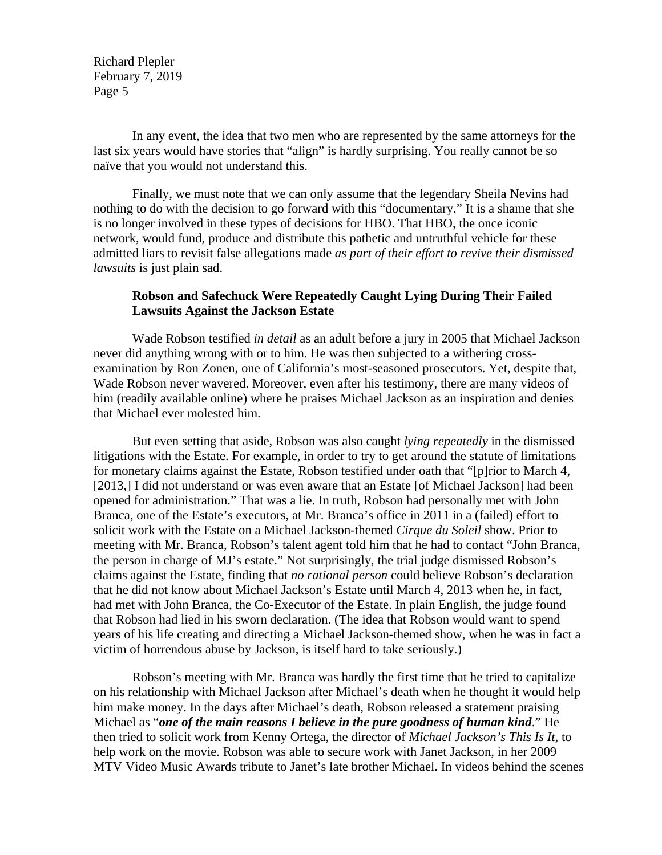In any event, the idea that two men who are represented by the same attorneys for the last six years would have stories that "align" is hardly surprising. You really cannot be so naïve that you would not understand this.

Finally, we must note that we can only assume that the legendary Sheila Nevins had nothing to do with the decision to go forward with this "documentary." It is a shame that she is no longer involved in these types of decisions for HBO. That HBO, the once iconic network, would fund, produce and distribute this pathetic and untruthful vehicle for these admitted liars to revisit false allegations made *as part of their effort to revive their dismissed lawsuits* is just plain sad.

#### **Robson and Safechuck Were Repeatedly Caught Lying During Their Failed Lawsuits Against the Jackson Estate**

Wade Robson testified *in detail* as an adult before a jury in 2005 that Michael Jackson never did anything wrong with or to him. He was then subjected to a withering crossexamination by Ron Zonen, one of California's most-seasoned prosecutors. Yet, despite that, Wade Robson never wavered. Moreover, even after his testimony, there are many videos of him (readily available online) where he praises Michael Jackson as an inspiration and denies that Michael ever molested him.

But even setting that aside, Robson was also caught *lying repeatedly* in the dismissed litigations with the Estate. For example, in order to try to get around the statute of limitations for monetary claims against the Estate, Robson testified under oath that "[p]rior to March 4, [2013,] I did not understand or was even aware that an Estate [of Michael Jackson] had been opened for administration." That was a lie. In truth, Robson had personally met with John Branca, one of the Estate's executors, at Mr. Branca's office in 2011 in a (failed) effort to solicit work with the Estate on a Michael Jackson-themed *Cirque du Soleil* show. Prior to meeting with Mr. Branca, Robson's talent agent told him that he had to contact "John Branca, the person in charge of MJ's estate." Not surprisingly, the trial judge dismissed Robson's claims against the Estate, finding that *no rational person* could believe Robson's declaration that he did not know about Michael Jackson's Estate until March 4, 2013 when he, in fact, had met with John Branca, the Co-Executor of the Estate. In plain English, the judge found that Robson had lied in his sworn declaration. (The idea that Robson would want to spend years of his life creating and directing a Michael Jackson-themed show, when he was in fact a victim of horrendous abuse by Jackson, is itself hard to take seriously.)

Robson's meeting with Mr. Branca was hardly the first time that he tried to capitalize on his relationship with Michael Jackson after Michael's death when he thought it would help him make money. In the days after Michael's death, Robson released a statement praising Michael as "*one of the main reasons I believe in the pure goodness of human kind*." He then tried to solicit work from Kenny Ortega, the director of *Michael Jackson's This Is It*, to help work on the movie. Robson was able to secure work with Janet Jackson, in her 2009 MTV Video Music Awards tribute to Janet's late brother Michael. In videos behind the scenes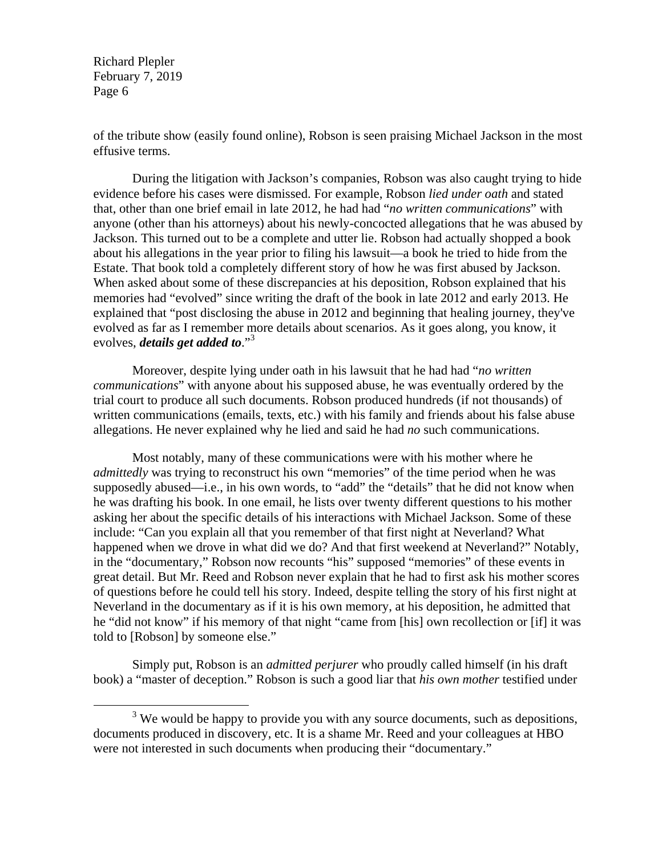of the tribute show (easily found online), Robson is seen praising Michael Jackson in the most effusive terms.

During the litigation with Jackson's companies, Robson was also caught trying to hide evidence before his cases were dismissed. For example, Robson *lied under oath* and stated that, other than one brief email in late 2012, he had had "*no written communications*" with anyone (other than his attorneys) about his newly-concocted allegations that he was abused by Jackson. This turned out to be a complete and utter lie. Robson had actually shopped a book about his allegations in the year prior to filing his lawsuit—a book he tried to hide from the Estate. That book told a completely different story of how he was first abused by Jackson. When asked about some of these discrepancies at his deposition, Robson explained that his memories had "evolved" since writing the draft of the book in late 2012 and early 2013. He explained that "post disclosing the abuse in 2012 and beginning that healing journey, they've evolved as far as I remember more details about scenarios. As it goes along, you know, it evolves, *details get added to*."3

Moreover, despite lying under oath in his lawsuit that he had had "*no written communications*" with anyone about his supposed abuse, he was eventually ordered by the trial court to produce all such documents. Robson produced hundreds (if not thousands) of written communications (emails, texts, etc.) with his family and friends about his false abuse allegations. He never explained why he lied and said he had *no* such communications.

Most notably, many of these communications were with his mother where he *admittedly* was trying to reconstruct his own "memories" of the time period when he was supposedly abused—i.e., in his own words, to "add" the "details" that he did not know when he was drafting his book. In one email, he lists over twenty different questions to his mother asking her about the specific details of his interactions with Michael Jackson. Some of these include: "Can you explain all that you remember of that first night at Neverland? What happened when we drove in what did we do? And that first weekend at Neverland?" Notably, in the "documentary," Robson now recounts "his" supposed "memories" of these events in great detail. But Mr. Reed and Robson never explain that he had to first ask his mother scores of questions before he could tell his story. Indeed, despite telling the story of his first night at Neverland in the documentary as if it is his own memory, at his deposition, he admitted that he "did not know" if his memory of that night "came from [his] own recollection or [if] it was told to [Robson] by someone else."

Simply put, Robson is an *admitted perjurer* who proudly called himself (in his draft book) a "master of deception." Robson is such a good liar that *his own mother* testified under

 $\frac{1}{3}$  $3$  We would be happy to provide you with any source documents, such as depositions, documents produced in discovery, etc. It is a shame Mr. Reed and your colleagues at HBO were not interested in such documents when producing their "documentary."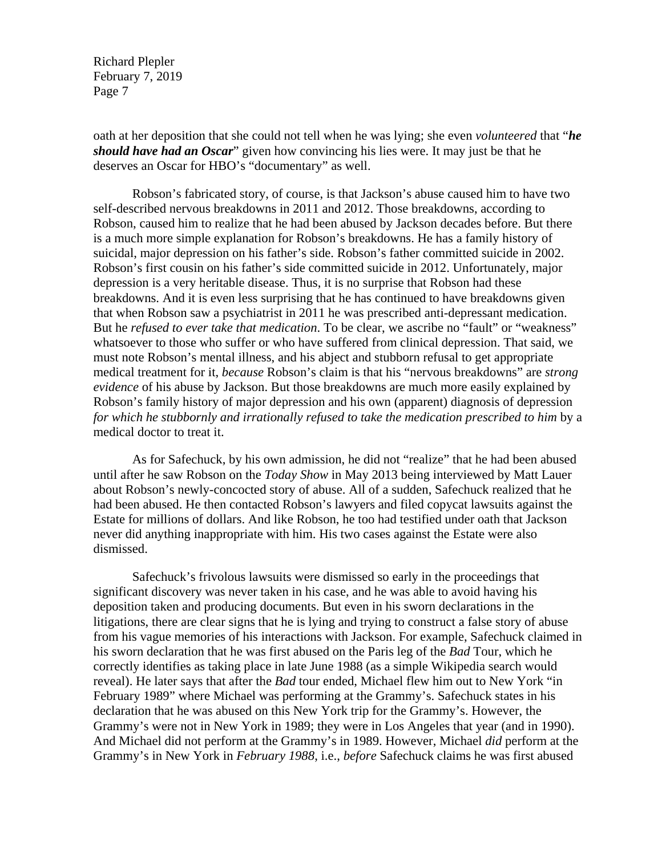oath at her deposition that she could not tell when he was lying; she even *volunteered* that "*he should have had an Oscar*" given how convincing his lies were. It may just be that he deserves an Oscar for HBO's "documentary" as well.

Robson's fabricated story, of course, is that Jackson's abuse caused him to have two self-described nervous breakdowns in 2011 and 2012. Those breakdowns, according to Robson, caused him to realize that he had been abused by Jackson decades before. But there is a much more simple explanation for Robson's breakdowns. He has a family history of suicidal, major depression on his father's side. Robson's father committed suicide in 2002. Robson's first cousin on his father's side committed suicide in 2012. Unfortunately, major depression is a very heritable disease. Thus, it is no surprise that Robson had these breakdowns. And it is even less surprising that he has continued to have breakdowns given that when Robson saw a psychiatrist in 2011 he was prescribed anti-depressant medication. But he *refused to ever take that medication*. To be clear, we ascribe no "fault" or "weakness" whatsoever to those who suffer or who have suffered from clinical depression. That said, we must note Robson's mental illness, and his abject and stubborn refusal to get appropriate medical treatment for it, *because* Robson's claim is that his "nervous breakdowns" are *strong evidence* of his abuse by Jackson. But those breakdowns are much more easily explained by Robson's family history of major depression and his own (apparent) diagnosis of depression *for which he stubbornly and irrationally refused to take the medication prescribed to him* by a medical doctor to treat it.

As for Safechuck, by his own admission, he did not "realize" that he had been abused until after he saw Robson on the *Today Show* in May 2013 being interviewed by Matt Lauer about Robson's newly-concocted story of abuse. All of a sudden, Safechuck realized that he had been abused. He then contacted Robson's lawyers and filed copycat lawsuits against the Estate for millions of dollars. And like Robson, he too had testified under oath that Jackson never did anything inappropriate with him. His two cases against the Estate were also dismissed.

Safechuck's frivolous lawsuits were dismissed so early in the proceedings that significant discovery was never taken in his case, and he was able to avoid having his deposition taken and producing documents. But even in his sworn declarations in the litigations, there are clear signs that he is lying and trying to construct a false story of abuse from his vague memories of his interactions with Jackson. For example, Safechuck claimed in his sworn declaration that he was first abused on the Paris leg of the *Bad* Tour, which he correctly identifies as taking place in late June 1988 (as a simple Wikipedia search would reveal). He later says that after the *Bad* tour ended, Michael flew him out to New York "in February 1989" where Michael was performing at the Grammy's. Safechuck states in his declaration that he was abused on this New York trip for the Grammy's. However, the Grammy's were not in New York in 1989; they were in Los Angeles that year (and in 1990). And Michael did not perform at the Grammy's in 1989. However, Michael *did* perform at the Grammy's in New York in *February 1988*, i.e., *before* Safechuck claims he was first abused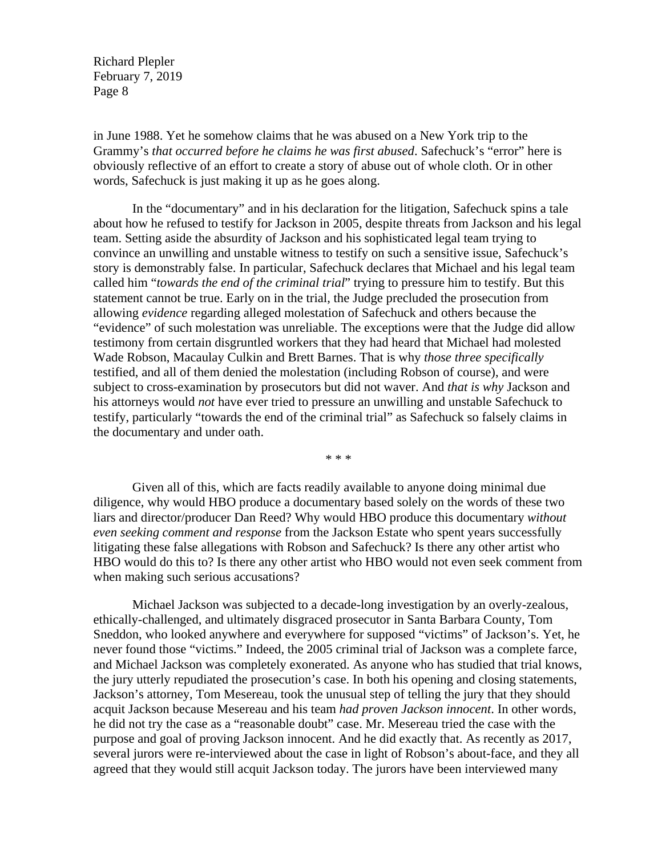in June 1988. Yet he somehow claims that he was abused on a New York trip to the Grammy's *that occurred before he claims he was first abused*. Safechuck's "error" here is obviously reflective of an effort to create a story of abuse out of whole cloth. Or in other words, Safechuck is just making it up as he goes along.

In the "documentary" and in his declaration for the litigation, Safechuck spins a tale about how he refused to testify for Jackson in 2005, despite threats from Jackson and his legal team. Setting aside the absurdity of Jackson and his sophisticated legal team trying to convince an unwilling and unstable witness to testify on such a sensitive issue, Safechuck's story is demonstrably false. In particular, Safechuck declares that Michael and his legal team called him "*towards the end of the criminal trial*" trying to pressure him to testify. But this statement cannot be true. Early on in the trial, the Judge precluded the prosecution from allowing *evidence* regarding alleged molestation of Safechuck and others because the "evidence" of such molestation was unreliable. The exceptions were that the Judge did allow testimony from certain disgruntled workers that they had heard that Michael had molested Wade Robson, Macaulay Culkin and Brett Barnes. That is why *those three specifically* testified, and all of them denied the molestation (including Robson of course), and were subject to cross-examination by prosecutors but did not waver. And *that is why* Jackson and his attorneys would *not* have ever tried to pressure an unwilling and unstable Safechuck to testify, particularly "towards the end of the criminal trial" as Safechuck so falsely claims in the documentary and under oath.

\* \* \*

Given all of this, which are facts readily available to anyone doing minimal due diligence, why would HBO produce a documentary based solely on the words of these two liars and director/producer Dan Reed? Why would HBO produce this documentary *without even seeking comment and response* from the Jackson Estate who spent years successfully litigating these false allegations with Robson and Safechuck? Is there any other artist who HBO would do this to? Is there any other artist who HBO would not even seek comment from when making such serious accusations?

Michael Jackson was subjected to a decade-long investigation by an overly-zealous, ethically-challenged, and ultimately disgraced prosecutor in Santa Barbara County, Tom Sneddon, who looked anywhere and everywhere for supposed "victims" of Jackson's. Yet, he never found those "victims." Indeed, the 2005 criminal trial of Jackson was a complete farce, and Michael Jackson was completely exonerated. As anyone who has studied that trial knows, the jury utterly repudiated the prosecution's case. In both his opening and closing statements, Jackson's attorney, Tom Mesereau, took the unusual step of telling the jury that they should acquit Jackson because Mesereau and his team *had proven Jackson innocent*. In other words, he did not try the case as a "reasonable doubt" case. Mr. Mesereau tried the case with the purpose and goal of proving Jackson innocent. And he did exactly that. As recently as 2017, several jurors were re-interviewed about the case in light of Robson's about-face, and they all agreed that they would still acquit Jackson today. The jurors have been interviewed many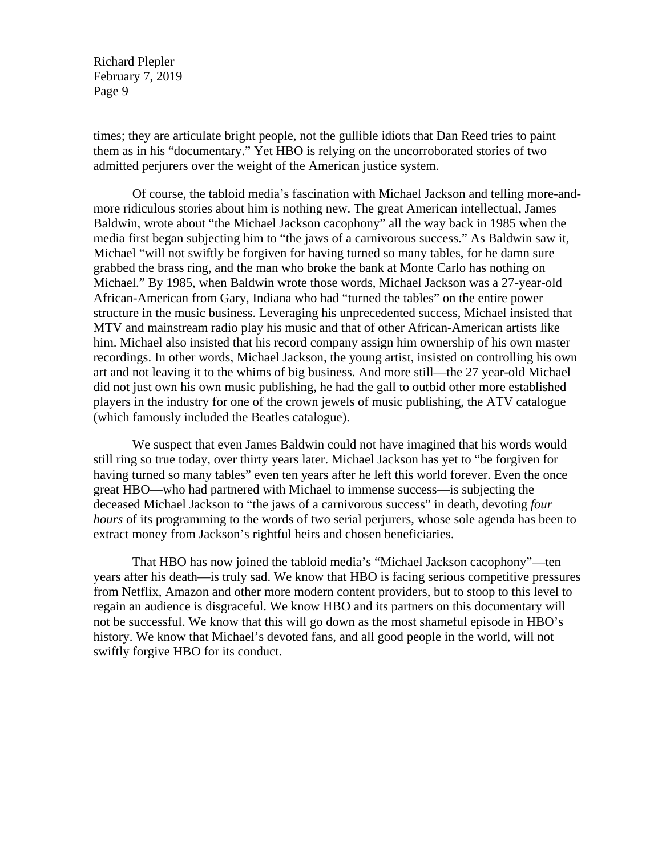times; they are articulate bright people, not the gullible idiots that Dan Reed tries to paint them as in his "documentary." Yet HBO is relying on the uncorroborated stories of two admitted perjurers over the weight of the American justice system.

Of course, the tabloid media's fascination with Michael Jackson and telling more-andmore ridiculous stories about him is nothing new. The great American intellectual, James Baldwin, wrote about "the Michael Jackson cacophony" all the way back in 1985 when the media first began subjecting him to "the jaws of a carnivorous success." As Baldwin saw it, Michael "will not swiftly be forgiven for having turned so many tables, for he damn sure grabbed the brass ring, and the man who broke the bank at Monte Carlo has nothing on Michael." By 1985, when Baldwin wrote those words, Michael Jackson was a 27-year-old African-American from Gary, Indiana who had "turned the tables" on the entire power structure in the music business. Leveraging his unprecedented success, Michael insisted that MTV and mainstream radio play his music and that of other African-American artists like him. Michael also insisted that his record company assign him ownership of his own master recordings. In other words, Michael Jackson, the young artist, insisted on controlling his own art and not leaving it to the whims of big business. And more still—the 27 year-old Michael did not just own his own music publishing, he had the gall to outbid other more established players in the industry for one of the crown jewels of music publishing, the ATV catalogue (which famously included the Beatles catalogue).

We suspect that even James Baldwin could not have imagined that his words would still ring so true today, over thirty years later. Michael Jackson has yet to "be forgiven for having turned so many tables" even ten years after he left this world forever. Even the once great HBO—who had partnered with Michael to immense success—is subjecting the deceased Michael Jackson to "the jaws of a carnivorous success" in death, devoting *four hours* of its programming to the words of two serial perjurers, whose sole agenda has been to extract money from Jackson's rightful heirs and chosen beneficiaries.

That HBO has now joined the tabloid media's "Michael Jackson cacophony"—ten years after his death—is truly sad. We know that HBO is facing serious competitive pressures from Netflix, Amazon and other more modern content providers, but to stoop to this level to regain an audience is disgraceful. We know HBO and its partners on this documentary will not be successful. We know that this will go down as the most shameful episode in HBO's history. We know that Michael's devoted fans, and all good people in the world, will not swiftly forgive HBO for its conduct.